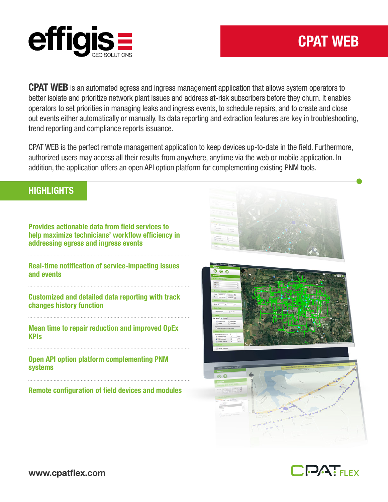

# CPAT WEB

**CPAT WEB** is an automated egress and ingress management application that allows system operators to better isolate and prioritize network plant issues and address at-risk subscribers before they churn. It enables operators to set priorities in managing leaks and ingress events, to schedule repairs, and to create and close out events either automatically or manually. Its data reporting and extraction features are key in troubleshooting, trend reporting and compliance reports issuance.

CPAT WEB is the perfect remote management application to keep devices up-to-date in the field. Furthermore, authorized users may access all their results from anywhere, anytime via the web or mobile application. In addition, the application offers an open API option platform for complementing existing PNM tools.

#### **HIGHLIGHTS**